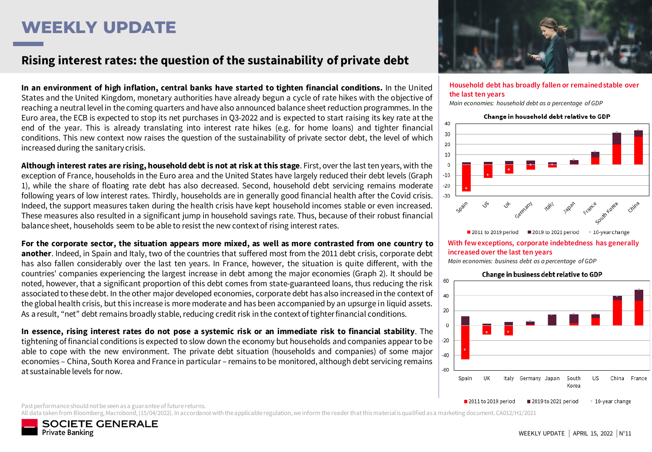# **WEEKLY UPDATE**

### Rising interest rates: the question of the sustainability of private debt

**In an environment of high inflation, central banks have started to tighten financial conditions.** In the United States and the United Kingdom, monetary authorities have already begun a cycle of rate hikes with the objective of reaching a neutral level in the coming quarters and have also announced balance sheet reduction programmes. In the Euro area, the ECB is expected to stop its net purchases in Q3-2022 and is expected to start raising its key rate at the end of the year. This is already translating into interest rate hikes (e.g. for home loans) and tighter financial conditions. This new context now raises the question of the sustainability of private sector debt, the level of which increased during the sanitarycrisis.

**Although interest rates are rising, household debt is not at risk at this stage**. First, over the last ten years, with the exception of France, households in the Euro area and the United States have largely reduced their debt levels (Graph 1), while the share of floating rate debt has also decreased. Second, household debt servicing remains moderate following years of low interest rates. Thirdly, households are in generally good financial health after the Covid crisis. Indeed, the support measures taken during the health crisis have kept household incomes stable or even increased. These measures also resulted in a significant jump in household savings rate. Thus, because of their robust financial balancesheet, households seem to be able to resist the new contextof rising interest rates.

For the corporate sector, the situation appears more mixed, as well as more contrasted from one country to **another**. Indeed, in Spain and Italy, two of the countries that suffered most from the 2011 debt crisis, corporate debt has also fallen considerably over the last ten years. In France, however, the situation is quite different, with the countries' companies experiencing the largest increase in debt among the major economies (Graph 2). It should be noted, however, that a significant proportion of this debt comes from state-guaranteed loans, thus reducing the risk associated to these debt. In the other major developed economies, corporate debt has also increased in the context of the global health crisis, but this increase is more moderate and has been accompanied by an upsurge in liquid assets. As a result, "net" debt remains broadly stable, reducing credit risk in the context of tighter financial conditions.

In essence, rising interest rates do not pose a systemic risk or an immediate risk to financial stability. The tightening of financial conditions is expected to slow down the economy but households and companies appear to be able to cope with the new environment. The private debt situation (households and companies) of some major economies – China, South Korea and France in particular – remains to be monitored, although debt servicing remains at sustainable levels for now.



#### **Household debt has broadly fallen or remained stable over the last ten years**

*Main economies: household debt as a percentage of GDP* 



*Main economies: business debt as a percentage of GDP* 



Past performance should not be seen as a guarantee of future returns.

All data taken from Bloomberg, Macrobond, (15/04/2022). In accordance with the applicable regulation, we inform the reader that this material is qualified as a marketing document. CA012/H1/2021

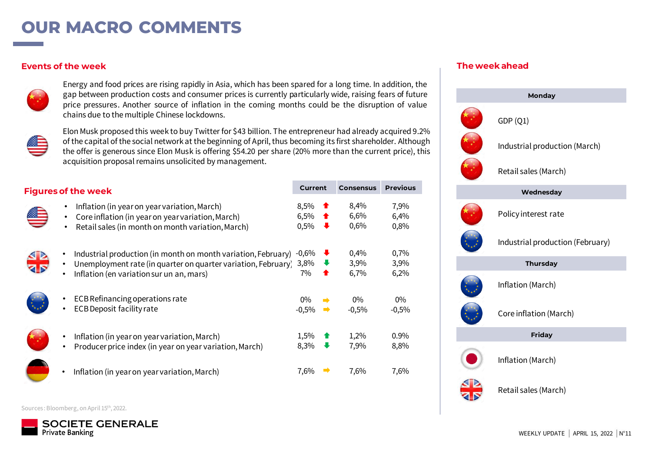## **OUR MACRO COMMENTS**

#### **Events of the week**



Energy and food prices are rising rapidly in Asia, which has been spared for a long time. In addition, the gap between production costs and consumer prices is currently particularly wide, raising fears of future price pressures. Another source of inflation in the coming months could be the disruption of value chains due to the multiple Chinese lockdowns.



Elon Musk proposed this week to buy Twitter for \$43 billion. The entrepreneur had already acquired 9.2% of the capital of the social network at the beginning of April, thus becoming its first shareholder. Although the offer is generous since Elon Musk is offering \$54.20 per share (20% more than the current price), this acquisition proposal remains unsolicited by management.

| <b>Figures of the week</b>                                                                                                                                                                           | Current               |   | <b>Consensus</b>     | <b>Previous</b>         |  |
|------------------------------------------------------------------------------------------------------------------------------------------------------------------------------------------------------|-----------------------|---|----------------------|-------------------------|--|
| Inflation (in year on year variation, March)<br>Core inflation (in year on year variation, March)<br>Retail sales (in month on month variation, March)<br>$\bullet$                                  | 8,5%<br>6,5%<br>0,5%  | ┺ | 8,4%<br>6,6%<br>0,6% | 7,9%<br>6,4%<br>$0.8\%$ |  |
| Industrial production (in month on month variation, February)<br>Unemployment rate (in quarter on quarter variation, February)<br>$\bullet$<br>Inflation (en variation sur un an, mars)<br>$\bullet$ | $-0,6%$<br>3,8%<br>7% | ∙ | 0,4%<br>3,9%<br>6,7% | 0,7%<br>3,9%<br>6,2%    |  |
| ECB Refinancing operations rate<br><b>ECB Deposit facility rate</b>                                                                                                                                  | $0\%$<br>$-0,5%$      |   | $0\%$<br>$-0.5%$     | $0\%$<br>$-0,5%$        |  |
| Inflation (in year on year variation, March)<br>$\bullet$<br>Producer price index (in year on year variation, March)<br>$\bullet$                                                                    | 1,5%<br>8,3%          |   | 1,2%<br>7,9%         | $0.9\%$<br>8,8%         |  |
| Inflation (in year on year variation, March)                                                                                                                                                         | 7,6%                  |   | 7,6%                 | 7,6%                    |  |

### **The week ahead**



Sources : Bloomberg, on April 15th, 2022.

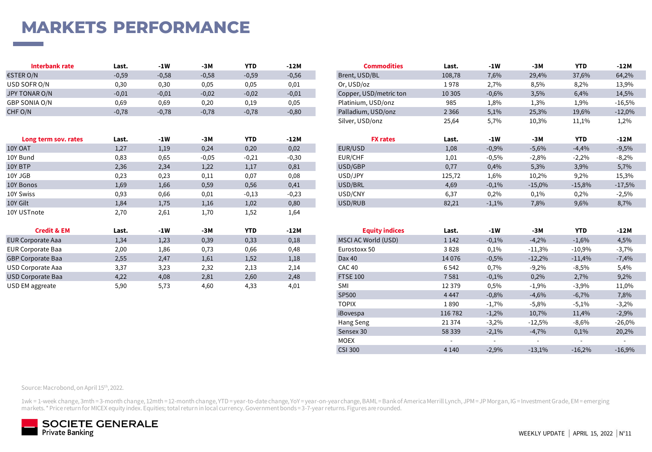# **MARKETS PERFORMANCE**

| Interbank rate | Last.   | -1W     | -3M     | <b>YTD</b> | $-12M$  | Commodities            | Last.   | $-1W$   | -3M   | <b>YTD</b> | $-12M$   |
|----------------|---------|---------|---------|------------|---------|------------------------|---------|---------|-------|------------|----------|
| €STER O/N      | $-0,59$ | $-0,58$ | $-0,58$ | $-0,59$    | $-0,56$ | Brent, USD/BL          | 108,78  | 7,6%    | 29,4% | 37,6%      | 64,2%    |
| USD SOFR O/N   | 0,30    | 0,30    | 0.05    | 0,05       | 0,01    | Or, USD/oz             | 1 978   | 2,7%    | 8,5%  | 8,2%       | 13,9%    |
| JPY TONAR O/N  | $-0.01$ | $-0,01$ | $-0,02$ | $-0,02$    | $-0,01$ | Copper, USD/metric ton | 10 30 5 | $-0,6%$ | 3,5%  | 6,4%       | 14,5%    |
| GBP SONIA O/N  | 0,69    | 0,69    | 0,20    | 0,19       | 0,05    | Platinium, USD/onz     | 985     | 1,8%    | 1,3%  | 1,9%       | $-16,5%$ |
| CHF O/N        | $-0,78$ | $-0,78$ | $-0,78$ | $-0,78$    | $-0,80$ | Palladium, USD/onz     | 2 3 6 6 | 5,1%    | 25,3% | 19,6%      | $-12,0%$ |

| Long term sov. rates | Last. | -1W  | -3M     | <b>YTD</b> | $-12M$  | <b>FX rates</b> | Last.  | $-1W$   | -3M      | <b>YTD</b> | $-12M$   |
|----------------------|-------|------|---------|------------|---------|-----------------|--------|---------|----------|------------|----------|
| 10Y OAT              | 1,27  | 1,19 | 0,24    | 0,20       | 0,02    | EUR/USD         | 1,08   | $-0,9%$ | $-5,6%$  | $-4,4%$    | $-9,5%$  |
| 10Y Bund             | 0,83  | 0,65 | $-0.05$ | $-0,21$    | $-0,30$ | EUR/CHF         | 1,01   | $-0,5%$ | $-2,8%$  | $-2,2%$    | $-8,2%$  |
| 10Y BTP              | 2,36  | 2,34 | 1,22    | 1,17       | 0,81    | USD/GBP         | 0,77   | 0,4%    | 5,3%     | 3,9%       | 5,7%     |
| 10Y JGB              | 0,23  | 0,23 | 0,11    | 0,07       | 0,08    | USD/JPY         | 125,72 | 1,6%    | 10,2%    | 9,2%       | 15,3%    |
| 10Y Bonos            | 1,69  | 1,66 | 0,59    | 0,56       | 0,41    | USD/BRL         | 4,69   | $-0,1%$ | $-15,0%$ | $-15,8%$   | $-17,5%$ |
| 10Y Swiss            | 0,93  | 0,66 | 0,01    | $-0,13$    | $-0,23$ | USD/CNY         | 6,37   | 0,2%    | 0,1%     | 0,2%       | $-2,5%$  |
| 10Y Gilt             | 1,84  | 1,75 | 1,16    | 1,02       | 0,80    | USD/RUB         | 82,21  | $-1,1%$ | 7,8%     | 9,6%       | 8,7%     |
| 10Y USTnote          | 2.70  | 2,61 | 1.70    | 1,52       | 1,64    |                 |        |         |          |            |          |

| <b>Credit &amp; EM</b>   | Last. | -1W  | -3M  | <b>YTD</b> | $-12M$ | <b>Equity indices</b> | Last.   | -1W     | -3M      | <b>YTD</b> | $-12M$  |
|--------------------------|-------|------|------|------------|--------|-----------------------|---------|---------|----------|------------|---------|
| <b>EUR Corporate Aaa</b> | 1,34  | 1,23 | 0,39 | 0,33       | 0,18   | MSCI AC World (USD)   | 1 1 4 2 | $-0,1%$ | $-4,2%$  | $-1,6%$    | 4,5%    |
| <b>EUR Corporate Baa</b> | 2,00  | 1,86 | 0,73 | 0,66       | 0,48   | Eurostoxx 50          | 3828    | 0,1%    | $-11,3%$ | $-10,9%$   | $-3,7%$ |
| <b>GBP Corporate Baa</b> | 2,55  | 2,47 | 1,61 | 1.52       | 1,18   | Dax40                 | 14 0 76 | $-0,5%$ | $-12.2%$ | $-11,4%$   | $-7,4%$ |
| USD Corporate Aaa        | 3,37  | 3,23 | 2,32 | 2.13       | 2,14   | <b>CAC 40</b>         | 6 5 42  | 0,7%    | $-9,2%$  | $-8,5%$    | 5,4%    |
| USD Corporate Baa        | 4,22  | 4,08 | 2,81 | 2,60       | 2,48   | <b>FTSE 100</b>       | 7581    | $-0,1%$ | 0,2%     | 2,7%       | 9,2%    |
| USD EM aggreate          | 5,90  | 5.73 | 4.60 | 4.33       | 4,01   | <b>SMI</b>            | 12 3 79 | 0,5%    | $-1.9%$  | $-3,9%$    | 11,0%   |

| interpank rate       | Last.   | -1W     | -3 M    | YIV        | -12M    | <b>Commodities</b>     | Last.   | -1W     | -3 M     | YIV        | -12M     |
|----------------------|---------|---------|---------|------------|---------|------------------------|---------|---------|----------|------------|----------|
| €STER O/N            | $-0,59$ | $-0,58$ | $-0,58$ | $-0,59$    | $-0,56$ | Brent, USD/BL          | 108,78  | 7,6%    | 29,4%    | 37,6%      | 64,2%    |
| USD SOFR O/N         | 0,30    | 0,30    | 0,05    | 0,05       | 0,01    | Or, USD/oz             | 1978    | 2,7%    | 8,5%     | 8,2%       | 13,9%    |
| <b>JPY TONAR O/N</b> | $-0,01$ | $-0,01$ | $-0,02$ | $-0,02$    | $-0,01$ | Copper, USD/metric ton | 10 30 5 | $-0,6%$ | 3,5%     | 6,4%       | 14,5%    |
| GBP SONIA O/N        | 0,69    | 0,69    | 0,20    | 0,19       | 0,05    | Platinium, USD/onz     | 985     | 1,8%    | 1,3%     | 1,9%       | $-16,5%$ |
| CHF O/N              | $-0,78$ | $-0,78$ | $-0,78$ | $-0,78$    | $-0,80$ | Palladium, USD/onz     | 2 3 6 6 | 5,1%    | 25,3%    | 19,6%      | $-12,0%$ |
|                      |         |         |         |            |         | Silver, USD/onz        | 25,64   | 5,7%    | 10,3%    | 11,1%      | 1,2%     |
|                      |         |         |         |            |         |                        |         |         |          |            |          |
|                      |         |         |         |            |         |                        |         |         |          |            |          |
| Long term sov. rates | Last.   | $-1W$   | -3M     | <b>YTD</b> | $-12M$  | <b>FX rates</b>        | Last.   | -1W     | $-3M$    | <b>YTD</b> | $-12M$   |
| 10Y OAT              | 1,27    | 1,19    | 0,24    | 0,20       | 0,02    | EUR/USD                | 1,08    | $-0,9%$ | $-5,6%$  | $-4,4%$    | $-9,5%$  |
| 10Y Bund             | 0,83    | 0,65    | $-0,05$ | $-0,21$    | $-0,30$ | EUR/CHF                | 1,01    | $-0,5%$ | $-2,8%$  | $-2,2%$    | $-8,2%$  |
| 10Y BTP              | 2,36    | 2,34    | 1,22    | 1,17       | 0,81    | USD/GBP                | 0,77    | 0,4%    | 5,3%     | 3,9%       | 5,7%     |
| 10Y JGB              | 0,23    | 0,23    | 0,11    | 0,07       | 0,08    | USD/JPY                | 125,72  | 1,6%    | 10,2%    | 9,2%       | 15,3%    |
| 10Y Bonos            | 1,69    | 1,66    | 0,59    | 0,56       | 0,41    | USD/BRL                | 4,69    | $-0,1%$ | $-15,0%$ | $-15,8%$   | $-17,5%$ |
| 10Y Swiss            | 0,93    | 0,66    | 0,01    | $-0,13$    | $-0,23$ | USD/CNY                | 6,37    | 0,2%    | 0,1%     | 0,2%       | $-2,5%$  |

| <b>Credit &amp; EM</b>   | Last. | $-1W$ | $-3M$ | <b>YTD</b> | $-12M$ | <b>Equity indices</b> | Last.                    | -1W                      | $-3M$                    | <b>YTD</b>               | -12M                     |
|--------------------------|-------|-------|-------|------------|--------|-----------------------|--------------------------|--------------------------|--------------------------|--------------------------|--------------------------|
| EUR Corporate Aaa        | 1,34  | 1,23  | 0,39  | 0,33       | 0,18   | MSCI AC World (USD)   | 1 1 4 2                  | $-0,1%$                  | $-4,2%$                  | $-1,6%$                  | 4,5%                     |
| <b>EUR Corporate Baa</b> | 2,00  | 1,86  | 0,73  | 0,66       | 0,48   | Eurostoxx 50          | 3828                     | 0,1%                     | $-11,3%$                 | $-10,9%$                 | $-3,7%$                  |
| <b>GBP Corporate Baa</b> | 2,55  | 2,47  | 1,61  | 1,52       | 1,18   | Dax 40                | 14 0 76                  | $-0,5%$                  | $-12,2%$                 | $-11,4%$                 | $-7,4%$                  |
| USD Corporate Aaa        | 3,37  | 3,23  | 2,32  | 2,13       | 2,14   | CAC <sub>40</sub>     | 6 5 4 2                  | 0,7%                     | $-9,2%$                  | $-8,5%$                  | 5,4%                     |
| <b>USD Corporate Baa</b> | 4,22  | 4,08  | 2,81  | 2,60       | 2,48   | <b>FTSE 100</b>       | 7581                     | $-0,1%$                  | 0,2%                     | 2,7%                     | 9,2%                     |
| USD EM aggreate          | 5,90  | 5,73  | 4,60  | 4,33       | 4,01   | SMI                   | 12 3 79                  | 0,5%                     | $-1,9%$                  | $-3,9%$                  | 11,0%                    |
|                          |       |       |       |            |        | SP500                 | 4 4 4 7                  | $-0,8%$                  | $-4,6%$                  | $-6,7%$                  | 7,8%                     |
|                          |       |       |       |            |        | <b>TOPIX</b>          | 1890                     | $-1,7%$                  | $-5,8%$                  | $-5,1%$                  | $-3,2%$                  |
|                          |       |       |       |            |        | iBovespa              | 116 782                  | $-1,2%$                  | 10,7%                    | 11,4%                    | $-2,9%$                  |
|                          |       |       |       |            |        | Hang Seng             | 21 3 74                  | $-3,2%$                  | $-12,5%$                 | $-8,6%$                  | $-26,0%$                 |
|                          |       |       |       |            |        | Sensex 30             | 58 339                   | $-2,1%$                  | $-4,7%$                  | 0,1%                     | 20,2%                    |
|                          |       |       |       |            |        | <b>MOEX</b>           | $\overline{\phantom{a}}$ | $\overline{\phantom{0}}$ | $\overline{\phantom{a}}$ | $\overline{\phantom{a}}$ | $\overline{\phantom{a}}$ |
|                          |       |       |       |            |        | <b>CSI 300</b>        | 4 1 4 0                  | $-2,9%$                  | $-13,1%$                 | $-16,2%$                 | $-16,9%$                 |

Source: Macrobond, on April 15th, 2022.

1wk = 1-week change, 3mth = 3-month change, 12mth = 12-month change, YTD = year-to-date change, YoY = year-on-year change, BAML = Bank of America Merrill Lynch, JPM = JP Morgan, IG = Investment Grade, EM = emerging markets. \* Price return for MICEX equity index. Equities; total return in local currency. Government bonds = 3-7-year returns. Figures are rounded.

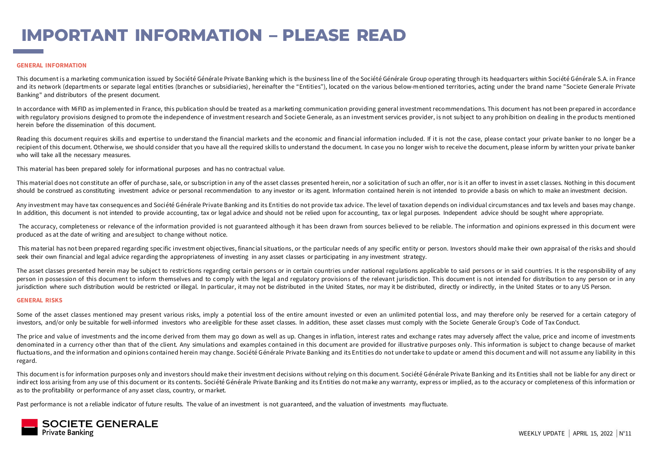# **IMPORTANT INFORMATION – PLEASE READ**

#### **GENERAL INFORMATION**

This document is a marketing communica tion issued by Société Générale Private Banking which is the business line of the Société Générale Group operating through its headquarters within Société Générale S.A. in France and its network (departments or separate legal entities (branches or subsidiaries), hereinafter the "Entities"), located on the various below-mentioned territories, acting under the brand name "Societe Generale Private Banking" and distributors of the present document.

In accordance with MiFID as implemented in France, this publication should be treated as a marketing communication providing general investment recommendations. This document has not been prepared in accordance with regulatory provisions designed to promote the independence of investment research and Societe Generale, as an investment services provider, is not subject to any prohibition on dealing in the products mentioned herein before the dissemination of this document.

Reading this document requires skills and expertise to understand the financial markets and the economic and financial information included. If it is not the case, please contact your private banker to no longer be a recipient of this document. Otherwise, we should consider that you have all the required skills to understand the document. In case you no longer wish to receive the document, please inform by written your private banker who will take all the necessary measures.

This material has been prepared solely for informational purposes and has no contractual value.

This material does not constitute an offer of purchase, sale, or subscription in any of the asset classes presented herein, nor a solicitation of such an offer, nor is it an offer to invest in asset classes. Nothing in thi should be construed as constituting investment advice or personal recommendation to any investor or its agent. Information contained herein is not intended to provide a basis on which to make an investment decision.

Any investment may have tax consequences and Société Générale Private Banking and its Entities do not provide tax advice. The level of taxation depends on individual circumstances and tax levels and bases may change. In addition, this document is not intended to provide accounting, tax or legal advice and should not be relied upon for accounting, tax or legal purposes. Independent advice should be sought where appropriate.

The accuracy, completeness or relevance of the information provided is not guaranteed although it has been drawn from sources believed to be reliable. The information and opinions expressed in this document were produced as at the date of writing and are subject to change without notice.

This material has not been prepared regarding specific investment objectives, financial situations, or the particular needs of any specific entity or person. Investors should make their own appraisal of the risks and shoul seek their own financial and legal advice regarding the appropriateness of investing in any asset classes or participating in any investment strategy.

The asset classes presented herein may be subject to restrictions regarding certain persons or in certain countries under national regulations applicable to said persons or in said countries. It is the responsibility of an person in possession of this document to inform themselves and to comply with the legal and regulatory provisions of the relevant jurisdiction. This document is not intended for distribution to any person or in any jurisdiction where such distribution would be restricted or illegal. In particular, it may not be distributed in the United States, nor may it be distributed, directly or indirectly, in the United States or to any US Perso

#### **GENERAL RISKS**

Some of the asset classes mentioned may present various risks, imply a potential loss of the entire amount invested or even an unlimited potential loss, and may therefore only be reserved for a certain category of investors, and/or only be suitable for well-informed investors who areeligible for these asset classes. In addition, these asset classes must comply with the Societe Generale Group's Code of Tax Conduct.

The price and value of investments and the income derived from them may go down as well as up. Changes in inflation, interest rates and exchange rates may adversely affect the value, price and income of investments denominated in a currency other than that of the client. Any simulations and examples contained in this document are provided for illustrative purposes only. This information is subject to change because of market fluctuations, and the information and opinions contained herein may change. Société Générale Private Banking and its Entities do not undertake to update or amend this document and will not assume any liability in this regard.

This document is for information purposes only and investors should make their investment decisions without relying on this document. Société Générale Priva te Banking and its Entities shall not be liable for any direct or indirect loss arising from any use of this document or its contents. Société Générale Private Banking and its Entities do not make any warranty, express or implied, as to the accuracy or completeness of this information or as to the profitability or performance of any asset class, country, or market.

Past performance is not a reliable indicator of future results. The value of an investment is not guaranteed, and the valuation of investments may fluctuate.

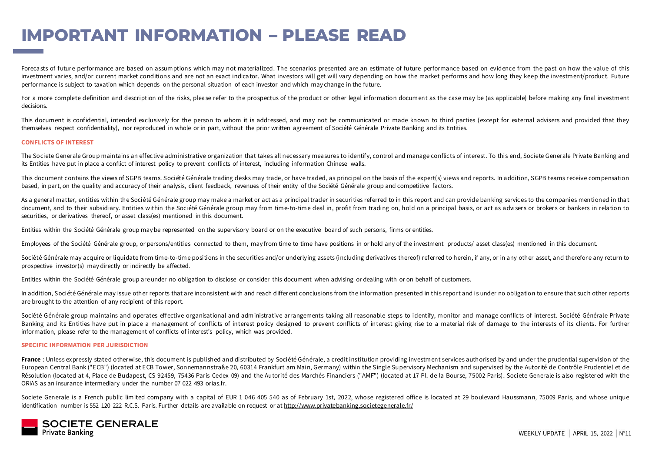## **IMPORTANT INFORMATION – PLEASE READ**

Forecasts of future performance are based on assumptions which may not materialized. The scenarios presented are an estimate of future performance based on evidence from the past on how the value of this investment varies, and/or current market conditions and are not an exact indicator. What investors will get will vary depending on how the market performs and how long they keep the investment/product. Future performance is subject to taxation which depends on the personal situation of each investor and which may change in the future.

For a more complete definition and description of the risks, please refer to the prospectus of the product or other legal information document as the case may be (as applicable) before making any final investment decisions.

This document is confidential, intended exclusively for the person to whom it is addressed, and may not be communicated or made known to third parties (except for external advisers and provided that they themselves respect confidentiality), nor reproduced in whole or in part, without the prior written agreement of Société Générale Private Banking and its Entities.

#### **CONFLICTS OF INTEREST**

The Societe Generale Group maintains an effective administrative organization that takes all necessary mea sures to identify, control and manage conflicts of interest. To this end, Societe Generale Private Banking and its Entities have put in place a conflict of interest policy to prevent conflicts of interest, including information Chinese walls.

This document contains the views of SGPB teams. Société Générale trading desks may trade, or have traded, as principal on the basis of the expert(s) views and reports. In addition, SGPB teams receive compensation based, in part, on the quality and accuracy of their analysis, client feedback, revenues of their entity of the Société Générale group and competitive factors.

As a general matter, entities within the Société Générale group may make a market or act as a principal trader in securities referred to in this report and can provide banking services to the companies mentioned in that document, and to their subsidiary. Entities within the Société Générale group may from time-to-time deal in, profit from trading on, hold on a principal basis, or act as advisers or brokers or bankers in relation to securities, or derivatives thereof, or asset class(es) mentioned in this document.

Entities within the Société Générale group may be represented on the supervisory board or on the executive board of such persons, firms or entities.

Employees of the Société Générale group, or persons/entities connected to them, may from time to time have positions in or hold any of the investment products/ asset class(es) mentioned in this document.

Société Générale may acquire or liquidate from time-to-time positions in the securities and/or underlying assets (including derivatives thereof) referred to herein, if any, or in any other asset, and therefore any return t prospective investor(s) may directly or indirectly be affected.

Entities within the Société Générale group areunder no obligation to disclose or consider this document when advising or dealing with or on behalf of customers.

In addition, Société Générale may issue other reports that are inconsistent with and reach differ ent conclusions from the information presented in this report and is under no obligation to ensure that such other reports are brought to the attention of any recipient of this report.

Société Générale group maintains and operates effective organisational and administrative arrangements taking all reasonable steps to identify, monitor and manage conflicts of interest. Société Générale Private Banking and its Entities have put in place a management of conflicts of interest policy designed to prevent conflicts of interest giving rise to a material risk of damage to the interests of its clients. For further information, please refer to the management of conflicts of interest's policy, which was provided.

#### **SPECIFIC INFORMATION PER JURISDICTION**

France : Unless expressly stated other wise, this document is published and distributed by Société Générale, a credit institution providing investment services authorised by and under the prudential supervision of the European Central Bank ("ECB") (located at ECB Tower, Sonnemannstraße 20, 60314 Frankfurt am Main, Germany) within the Single Supervisory Mechanism and supervised by the Autorité de Contrôle Prudentiel et de Résolution (loca ted at 4, Place de Budapest, CS 92459, 75436 Paris Cedex 09) and the Autorité des Marchés Financiers ("AMF") (located at 17 Pl. de la Bourse, 75002 Paris). Societe Generale is also registered with the ORIAS as an insurance intermediary under the number 07 022 493 orias.fr.

Societe Generale is a French public limited company with a capital of EUR 1 046 405 540 as of February 1st, 2022, whose registered office is located at 29 boulevard Haussmann, 75009 Paris, and whose unique identification number is 552 120 222 R.C.S. Paris. Further details are available on request or at <http://www.privatebanking.societegenerale.fr/>